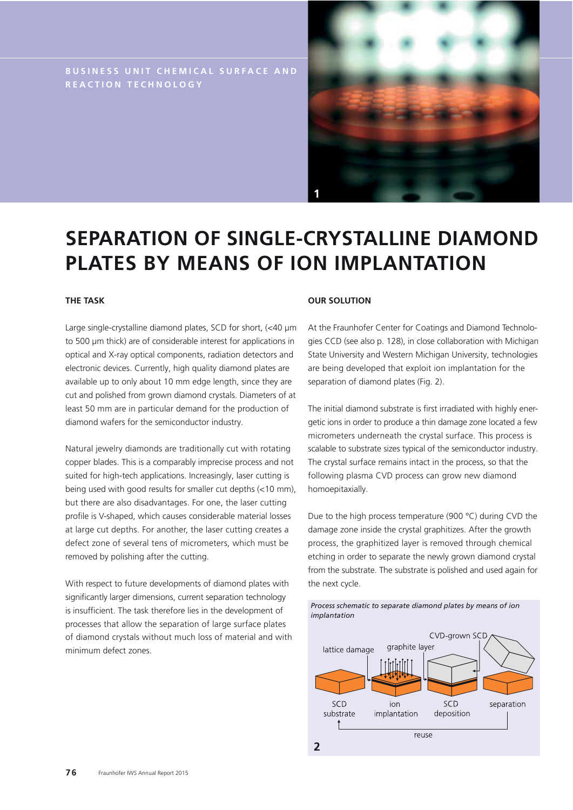**BUSINESS UNIT CHEMICAL SURFACE AND REACTION TECHNOLOGY**



# **SEPARATION OF SINGLE-CRYSTALLINE DIAMOND PLATES BY MEANS OF ION IMPLANTATION**

## **THE TASK**

Large single-crystalline diamond plates, SCD for short, (<40 μm to 500 μm thick) are of considerable interest for applications in optical and X-ray optical components, radiation detectors and electronic devices. Currently, high quality diamond plates are available up to only about 10 mm edge length, since they are cut and polished from grown diamond crystals. Diameters of at least 50 mm are in particular demand for the production of diamond wafers for the semiconductor industry.

Natural jewelry diamonds are traditionally cut with rotating copper blades. This is a comparably imprecise process and not suited for high-tech applications. Increasingly, laser cutting is being used with good results for smaller cut depths (<10 mm), but there are also disadvantages. For one, the laser cutting profile is V-shaped, which causes considerable material losses at large cut depths. For another, the laser cutting creates a defect zone of several tens of micrometers, which must be removed by polishing after the cutting.

With respect to future developments of diamond plates with significantly larger dimensions, current separation technology is insufficient. The task therefore lies in the development of processes that allow the separation of large surface plates of diamond crystals without much loss of material and with minimum defect zones.

### **OUR SOLUTION**

At the Fraunhofer Center for Coatings and Diamond Technologies CCD (see also p. 128), in close collaboration with Michigan State University and Western Michigan University, technologies are being developed that exploit ion implantation for the separation of diamond plates (Fig. 2).

The initial diamond substrate is first irradiated with highly energetic ions in order to produce a thin damage zone located a few micrometers underneath the crystal surface. This process is scalable to substrate sizes typical of the semiconductor industry. The crystal surface remains intact in the process, so that the following plasma CVD process can grow new diamond homoepitaxially.

Due to the high process temperature (900 °C) during CVD the damage zone inside the crystal graphitizes. After the growth process, the graphitized layer is removed through chemical etching in order to separate the newly grown diamond crystal from the substrate. The substrate is polished and used again for the next cycle.

*Process schematic to separate diamond plates by means of ion*